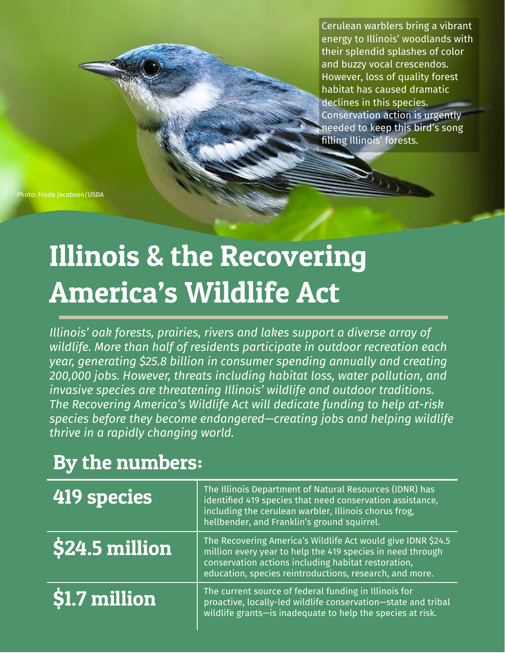Cerulean warblers bring a vibrant energy to Illinois' woodlands with their splendid splashes of color and buzzy vocal crescendos. However, loss of quality forest habitat has caused dramatic declines in this species. Conservation action is urgently needed to keep this bird's song filling Illinois' forests.

Photo: Frode Jacobson/USDA

## Illinois & the Recovering America's Wildlife Act

*Illinois' oak forests, prairies, rivers and lakes support a diverse array of wildlife. More than half of residents participate in outdoor recreation each year, generating \$25.8 billion in consumer spending annually and creating 200,000 jobs. However, threats including habitat loss, water pollution, and invasive species are threatening Illinois' wildlife and outdoor traditions. The Recovering America's Wildlife Act will dedicate funding to help at-risk species before they become endangered—creating jobs and helping wildlife thrive in a rapidly changing world.*

## By the numbers:

| $\overline{419}$ species                       | The Illinois Department of Natural Resources (IDNR) has<br>identified 419 species that need conservation assistance,<br>including the cerulean warbler, Illinois chorus frog,<br>hellbender, and Franklin's ground squirrel.                 |
|------------------------------------------------|----------------------------------------------------------------------------------------------------------------------------------------------------------------------------------------------------------------------------------------------|
| $\mid$ \$24.5 million                          | The Recovering America's Wildlife Act would give IDNR \$24.5<br>million every year to help the 419 species in need through<br>conservation actions including habitat restoration,<br>education, species reintroductions, research, and more. |
| $\ket{\textcolor{red}{\mathsf{S}1.7}}$ million | The current source of federal funding in Illinois for<br>proactive, locally-led wildlife conservation-state and tribal<br>wildlife grants-is inadequate to help the species at risk.                                                         |